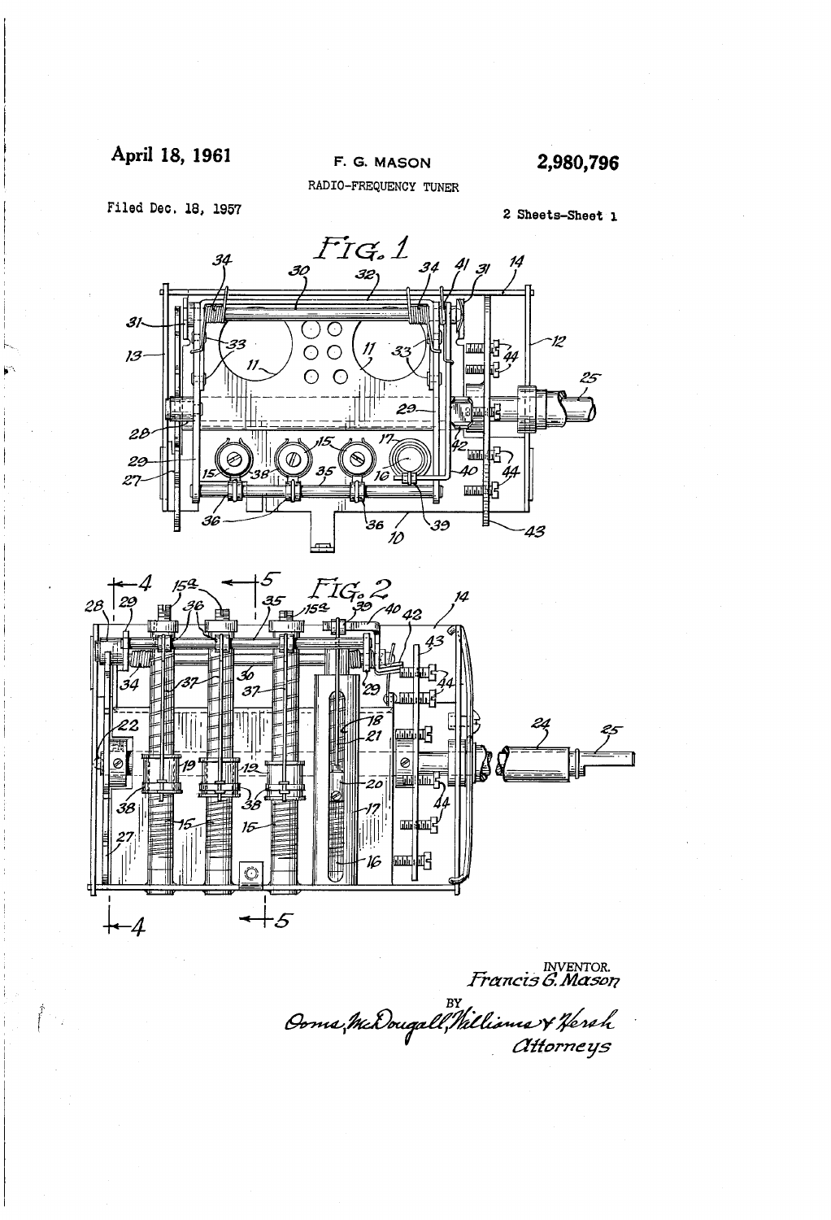### April 18, 1961

## F. G. MASON

2,980,796

Filed Dec. 18, 1957

RADIO-FREQUENCY TUNER

2 Sheets-Sheet 1





NVENTOR.<br>*Francis G. Mason* Br<br>Ooms, McDougall, Nathima & Hereh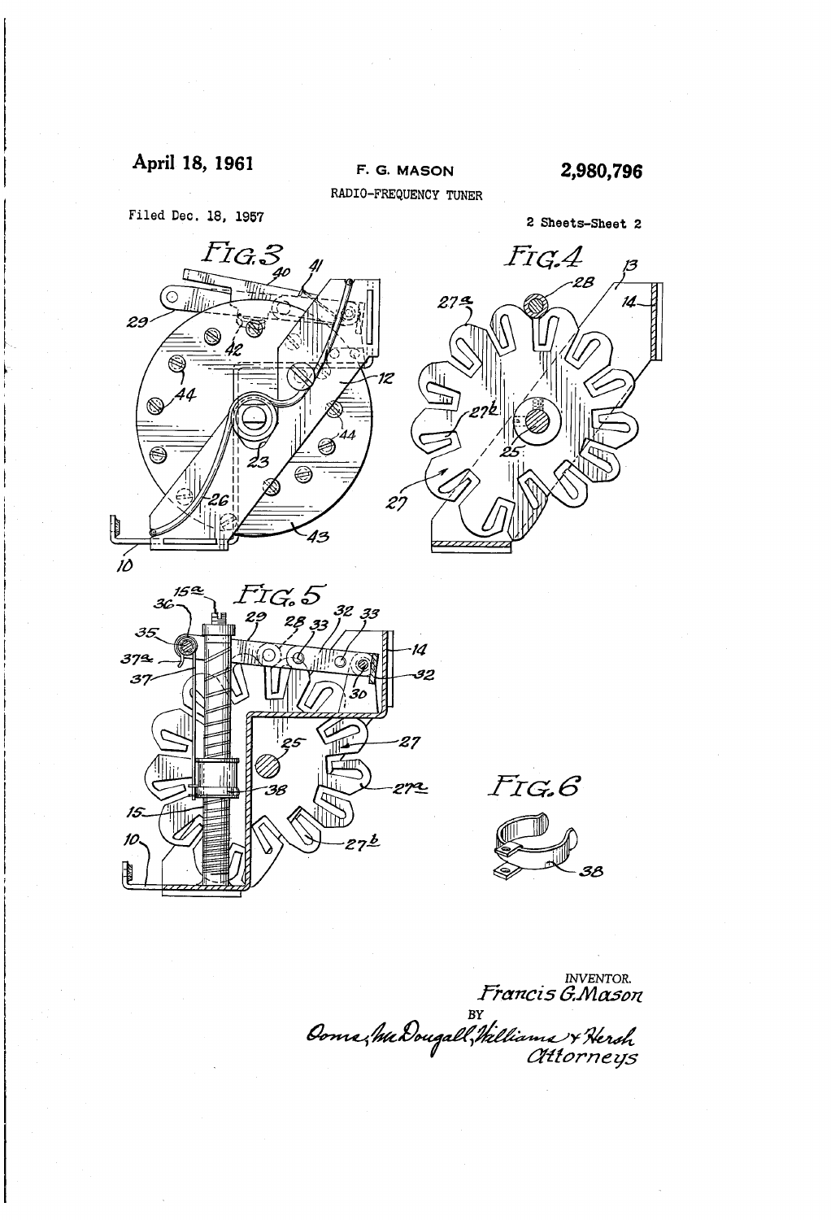April 18, 1961 F. G. MASON 2,980,796



nventor.<br>*Francis G.Mason*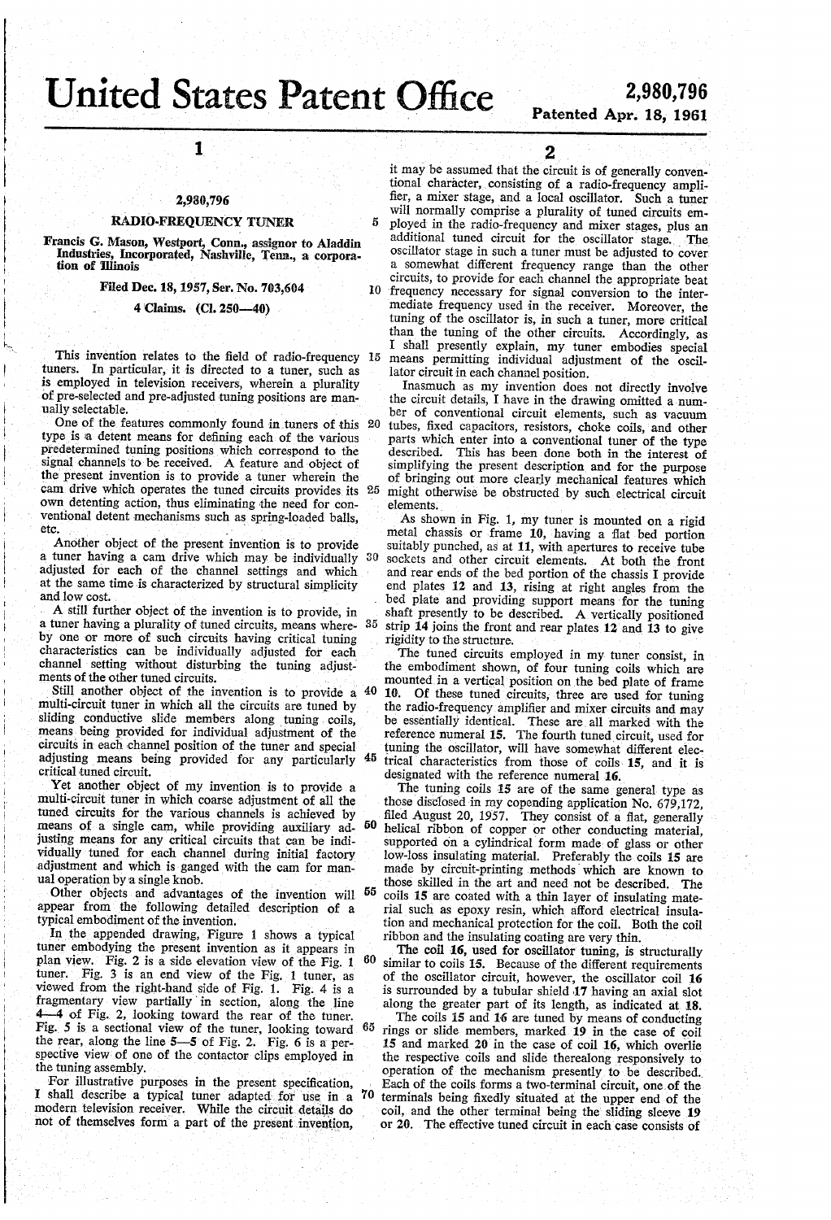# United States Patent Office

# $\text{CC}$  2,980,196

### 2,980,796

l

### RADIO-FREQUENCY TUNER

Francis G. Mason, Westport, Conn., assignor to Aladdin Industries, Incorporated, Nashville, Tenn., a corpora-<br>tion of Illinois

Filed Dec. 18, 1957, Ser. No. 703,604

#### 4 Claims. (Cl. Z50-40)

This invention relates to the ñeld of radio-frequency 15 tuners. In particular, it is directed to a tuner, such as is employed in television receivers, wherein a plurality of pre-selected and pre-adjusted tuning positions are manually selectable.

One of the features commonly found in tuners of this 20 type is la detent means for deñning each of the various predetermined tuning positions which correspond to the signal channels to be received. A feature and object of the present invention is to provide a tuner wherein the cam drive which operates the tuned circuits provides its 25 own detenting action, thus eliminating the need for con ventional detent mechanisms such as spring-loaded balls, etc.<br>Another object of the present invention is to provide

a tuner having a cam drive which may be individually 30 adjusted for each of the channel settings and which at the same time is characterized by structural simplicity and low cost.<br>A still further object of the invention is to provide, in

a tuner having a plurality of tuned circuits, means whereby one or more of such circuits having critical tuning characteristics can be individually adjusted for each channel setting without disturbing the tuning adjust-<br>ments of the other tuned circuits. 35

multi-circuit tuner in which all the circuits are tuned by sliding conductive slide members along tuning coils, means being provided for individual adjustment of the circuits in each channel position of the tuner and special adjusting means being provided for any particularly critical tuned circuit.<br>
Yet another object of my invention is to provide a Still another object of the invention is to provide a 40 10. 45

multi-circuit tuner in which coarse adjustment of all the tuned circuits for the various channels is achieved by means of a single cam, while providing auxiliary adjusting means for any critical circuits that can be indi vidually tuned for each channel during initial factory adjustment and which is ganged with the cam for manual operation by a single knob. 50

Other objects and advantages of the invention will <sup>55</sup> appear from the following detailed description of a typical embodiment of the invention.

In the appended drawing, Figure l shows a typical tuner embodying the present invention as it appears in plan view. Fig. 2 is a side elevation view of the Fig. 1 tuner. Fig. 3 is an end view of the Fig. 1 tuner, as tuner. Fig. 3 is an end view of the Fig. 1 tuner, as viewed from the right-hand side of Fig. 1. Fig. 4 is a fragmentary view partially in section, along the line 4-4 of Fig. 2, looking toward the rear of the tuner. Fig. 5 is a sectional view of the tuner, looking toward the rear, along the line  $5-5$  of Fig. 2. Fig. 6 is a per-60 spective view of one of the contactor clips employed in the tuning assembly.

For illustrative purposes in the present specification, I shall describe a typical tuner adapted for use in a modern television receiver. While the circuit details do not of themselves form a part of the present invention,

 $\overline{2}$ <br>it may be assumed that the circuit is of generally conventional character, consisting of a radio-frequency amplifier, a mixer stage, and a local oscillator. Such a tuner ployed in the radio-frequency and mixer stages, plus an additional tuned circuit for the oscillator stage. \_ The oscillator stage in such a tuner must be adjusted to cover a somewhat different frequency range than the other circuits, to provide for each channel the appropriate beat frequency necessary for signal conversion to the inter mediate frequency used in the receiver. Moreover, the tuning of the oscillator is, in such a tuner, more critical than the tuning of the other circuits. Accordingly, as I shall presently explain, my tuner embodies special means permitting individual adjustment of the oscillator circuit in each channel position.

Inasmuch as my invention does not directly involve the circuit details, I have in the drawing omitted a number of conventional circuit elements, such as vacuum tubes, fixed capacitors, resistors, choke coils, and other parts which enter into a conventional tuner of the type described. This has been done both in the interest of simplifying the present description and for the purpose of bringing out more clearly mechanical features which might otherwise be obstructed by such electrical circuit elements.

As shown in Fig. 1, my tuner is mounted on a rigid metal chassis or frame 10, having a flat bed portion suitably punched, as at 11, with apertures to receive tube sockets and other circuit elements. At both the front and rear ends of the bed portion of the chassis I provide end plates 12 and 13, rising at right angles from the bed plate and providing support means for the tuning shaft presently to be described. A vertically positioned strip 14 joins the front and rear plates 12 and 13 to give rigidity to the structure.

The tuned circuits employed in my tuner consist, in the embodiment shown, of four tuning coils which are mounted in a vertical position on the bed plate of frame 10. Of these tuned circuits, three are used for tuning the radio-frequency amplifier and mixer circuits and may be essentially identical. These areall marked with the reference numeral 15. The fourth tuned circuit, used for tuning the oscillator, will have somewhat different elec trical characteristics from those of coils- 15, and it is designated with the reference numeral 16.<br>The tuning coils 15 are of the same general type as

those disclosed in my copending application No. 679,172, filed August 20, 1957. They consist of a flat, generally helical ribbon of copper or other conducting material, supported on a cylindrical form made of glass or other low-loss insulating material. Preferably the coils 15 are made by circuit-printing methods which are known to those skilled in the art and need not be described. The coils 15 are coated with a thin layer of insulating mate rial such as epoxy resin, which aiîord electrical insula tion and mechanical protection for the coil. Both the coil ribbon and the insulating coating are very thin.

The coil 16, used for oscillator tuning, is structurally similar to coils 15. Because of the different requirements of the oscillator circuit, however, the oscillator coil 16 is surrounded by a tubular shield 17 having an axial slot along the greater part of its length, as indicated at 18.

65 The coils 15 and 16 are tuned by means of conducting rings or slide members, marked 19 in the case of coil 15 and marked 20 in the case of coil 16, which overlie the respective coils and slide therealong responsively to operation of the mechanism presently to be described. Each of the coils forms a two-terminal circuit, one of the terminals being fixedly situated at the upper end of the coil, and the other terminal being the sliding sleeve 19 or 20. The effective tuned circuit in each case consists of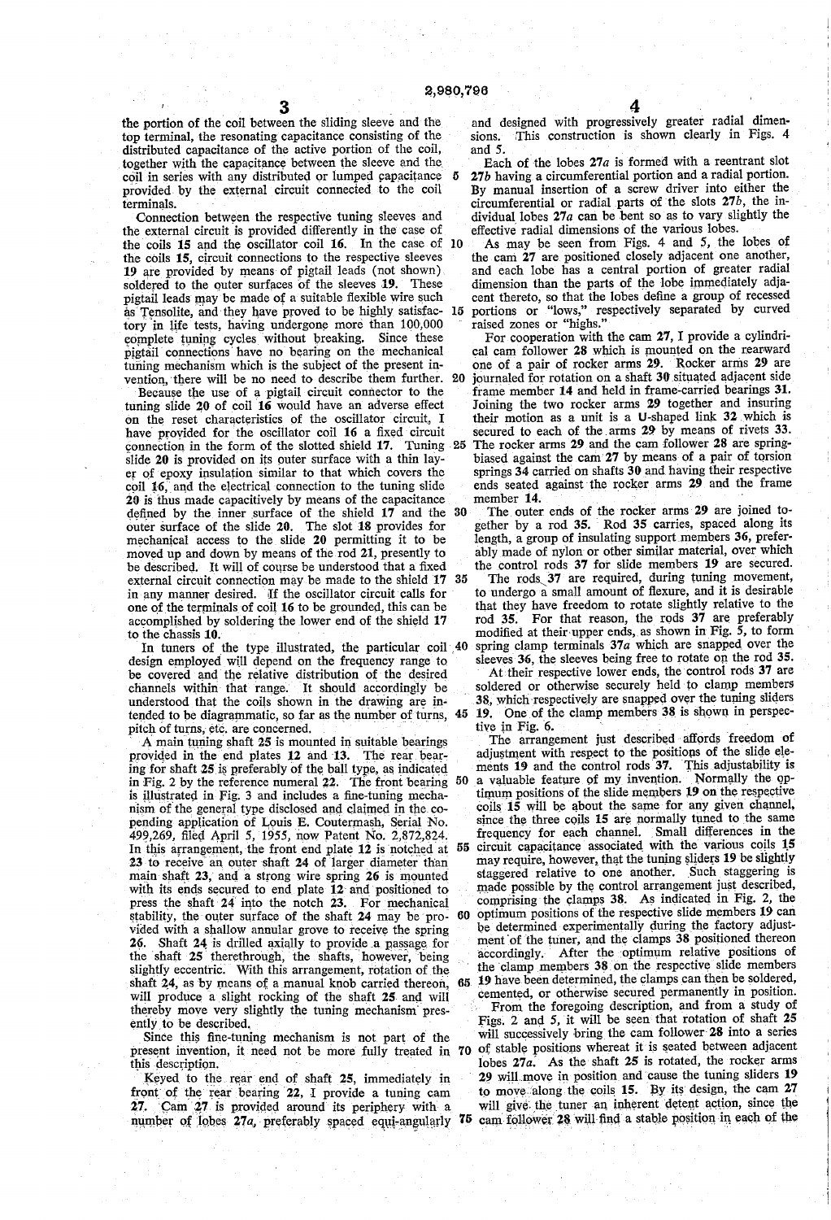5

the portion of the coil between the sliding sleeve and the top terminal, the resonating capacitance consisting of the distributed capacitance of the active portion of the coil, together with the capacitance between the sleeve and the coil in series with any distributed or lumped capacitance provided by the external circuit connected to the coil terminals.

Connection between the respective tuning sleeves and the external circuit is provided differently in the case of the coils 15 and the oscillator coil 16. In the case of 10 the coils 15, circuit connections to the respective sleeves 19 are provided by means of pigtail leads (not shown) soldered to the outer surfaces of the sleeves 19. These soldered to the outer surfaces of the sleeves 19. pigtail leads may be made of a suitable flexible wire such as Tensolite, and they have proved to be highly satisfac- 15 tory in life tests, having undergone more than 100,000 complete tuning cycles'without breaking. Since these pigtail connections have no bearing on the mechanical tuning mechanism which is the subject of the present in vention, there will be no need to describe them further. 20

Because the use of a pigtail circuit connector to the tuning slide 20 of coil 16 would have an adverse effect on the reset characteristics of the oscillator circuit, I have provided for the oscillator coil 16 a fixed circuit connection in the form of the slotted shield  $17$ . Tuning  $25$ slide 20 is provided on its outer surface with a thin lay er of epoxy insulation similar to that which covers the coil 16, and the electrical connection to the tuning slide 20 is thus made capacitively by means of the capacitance defined by the inner surface of the shield 17 and the outer surface of the slide  $20$ . The slot  $18$  provides for mechanical access to the slide 20 permitting it to be moved up and down by means of the rod 21, presently to be described. It will of course be understood that a fixed external circuit connection may be made to the shield 17 35 in any manner desired. if the oscillator circuit calls for one of the terminals of coil 16 to be grounded, this can be accomplished by soldering the lower end of the shield 17 to the chassis 10.

In tuners of the type illustrated, the particular coil  $40$ design employed will depend on the frequency range to be covered and the relative distribution of the desired channels within that range. It should accordingly be understood that the coils shown in the drawing are intended to be diagrammatic, so far as the number of turns, 45 pitch of turns, etc. are concerned. 4

A main tuning shaft 25 is mounted in suitable bearings provided in the end plates 12 and 13. The rear bearing for shaft 25 is preferably of the ball type, as indicated in Fig. 2 by the reference numeral 22. The front bearing 50 is illustrated in Fig. 3 and includes a fine-tuning mechanism of the general type disclosed and claimed in the copending application of Louis E. Coutermash, Serial No. 499,269, filed April 5, 1955, n\_ow Patent No. 2,872,824. In this arrangement, the front end plate  $12$  is notched at  $55$ 23 to receive an outer shaft 24 of larger diameter than main shaft 23, and a strong wire spring 26 is mounted with its ends secured to end plate  $12$  and positioned to press the shaft  $24$  into the notch  $23$ . For mechanical press the shaft 24 into the notch 23. stability, the outer surface of the shaft 24 may be provided with a shallow annular grove to receive the spring 26. Shaft 24 is drilled axially to provide a passage for the shaft 25 therethrough, the shafts, however, being slightly eccentric. With this arrangement, rotation of the shaft 24, as by means of a manual knob carried thereon, will produce a slight rocking of the shaft 25 and will thereby move very slightly the tuning mechanism pres ently to be described.

Since this fine-tuning mechanism is not part of the present invention, it need not be more fully treated in 70 this description.

Keyed to the rear end of shaft 25, immediately in front of the rear-bearing 22, I provide a tuning cam 27. Cam 27 is provided around its periphery- with a number of lobes  $27a$ , preferably spaced equi-angularly  $75$ 

and designed with progressively greater radial dimen sions. This construction is shown clearly in Figs. 4 and 5.

Each of the lobes  $27a$  is formed with a reentrant slot 27b having. a circumferential portion and a radial portion. By manual insertion of a screw driver into either the circumferential or radial parts of the slots  $27b$ , the individual lobes 27a can be bent so as to vary slightly the effective radial dimensions of the various lobes.

As may be seen from Figs. 4 and 5, the lobes of the cam 27 are positioned closely adjacent one another, and each lobe has a central portion of greater radial dimension than the parts of the lobe immediately adjacent thereto, so that the lobes define a group of recessed portions or "lows," respectively separated by curved raised zones or "highs."

For cooperation with the cam 27, I provide a cylindrical cam follower 28 which is mounted on the rearward one of a pair of rocker arms 29. Rocker arms 29 are journaled for rotation on a shaft 30 situated adjacent side frame member 14 and held in frame-carried bearings 31. Joining the two rocker arms 29 together and insuring their motion as a unit is a U-shaped link  $32$  which is secured to each of the arms 29 by means of rivets 33. The rocker arms 29 and the cam follower 28 are spring biased against the cam 27 by means of a pair of torsion springs  $34$  carried on shafts  $30$  and having their respective ends seated against the rocker arms 29 and the frame member 14.

30 The outer ends of the rocker arms 29 are joined together by a rod 35. Rod 35 carries, spaced along its length, a group of insulating support members 36, preferably made of nylon or other similar material, over which the control rods 37 for slide members 19 are secured.

The rods 37 are required, during tuning movement, to undergo a small amount of ñexure, and it is desirable that they have freedom to rotate slightly relative to the rod 35. For that reason, the rods 37 are preferably modified at their upper ends, as shown in Fig.  $\frac{5}{5}$ , to form spring clamp terminals 37a which are snapped over the sleeves 36, the sleeves being free to rotate on the rod 35.

At their respective lower ends, the control rods 37 are soldered or otherwise securely held to clamp members 38, which respectively are snapped over the tuning sliders 19. One of the clamp members  $38$  is shown in perspective in Fig. 6.

The arrangement just described affords freedom of adjustment with respect to the positions of the slide ele ments 19 and the control rods 37. This adjustability is a valuable feature of my invention. Normally the optimum positions of the slide members Q19 on the respective  $coils$  15 will be about the same for any given channel, since the three coils 15 are normally tuned to the same frequency for each channel. Small differences in the

circuit capacitance associated with the various coils 15 may require, however, that the tuning sliders 19 be slightly staggered relative to one another. Such staggering is made possible by the control arrangement just described, 60 comprising the clamps 38. As indicated in Fig. 2, the optimum positions of the respective slide members 19 can be determined experimentally during the factory adjust ment of the tuner, and the clamps 38 positioned thereon<br>accordingly. After the optimum relative positions of After the optimum relative positions of the clamp members 38 on the respective slide members

65 19 have been determined, the clamps can then be soldered, cemented, or otherwise secured permanently in position. From the foregoing description, and from a study of Figs. 2 and 5, it will be seen that rotation of shaft 25 will successively bring the cam follower 28 into a series of stable positions whereat it is seated between adjacent lobes 27a.~ As the shaft 25 is rotated, the rocker arms 29 will move in position and cause the tuning sliders 19 to move along the coils 15. By its design, the cam  $27$ will give the tuner an inherent detent action, since the cam follower 28 will find a stable position in each of the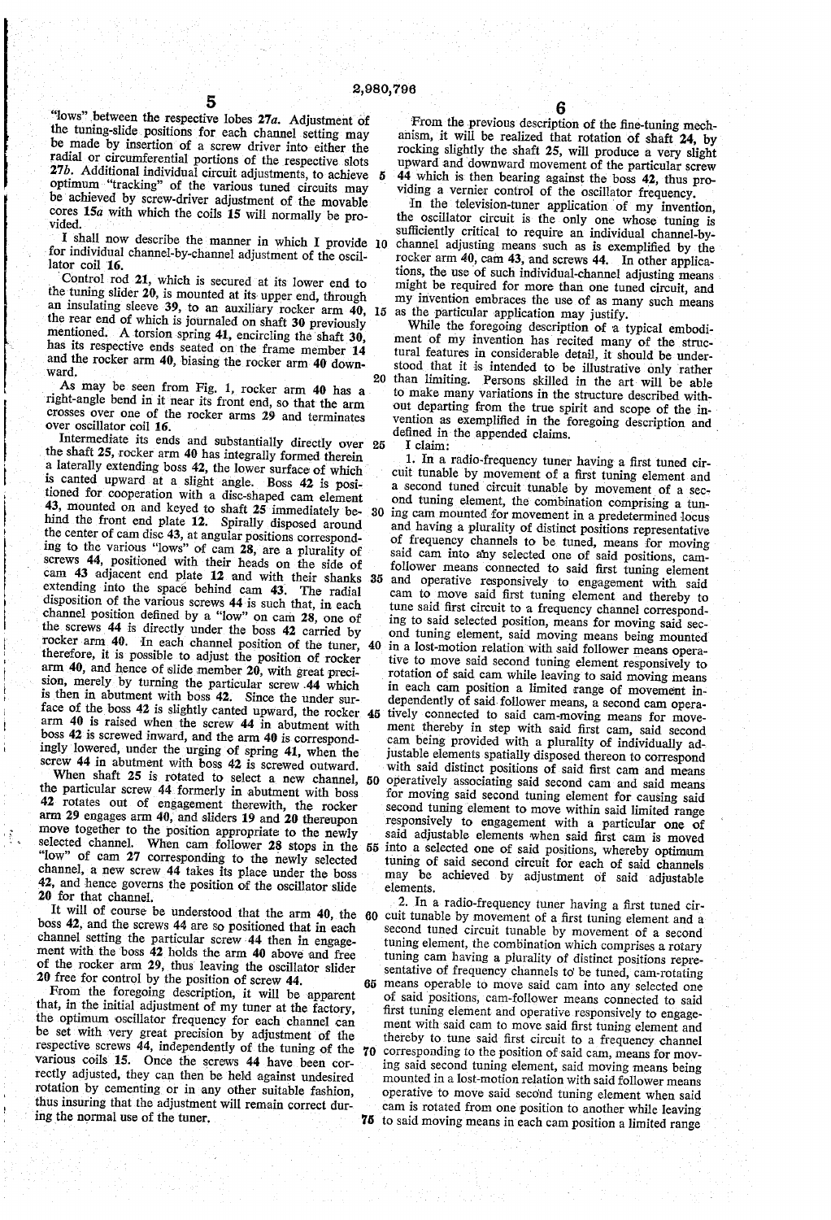5

"lows" between the respective lobes  $27a$ . Adjustment of the tuning-slide positions for each channel setting may be made by insertion of a screw driver into either the

radial or circumferential portions of the respective slots 27b. Additional individual circuit adjustments, to achieve optimum "tracking" of the various tuned circuits may<br>be achieved by screw-driver adjustment of the movable cores  $15a$  with which the coils 15 will normally be provided.

I shall now describe the manner in which I provide  $10$ for individual channel-by-channel adjustment of the oscil lator coil 16.

Control rod 21, which is secured at its lower end to the tuning slider 20, is mounted at its upper end, through the tuning slider 20, is mounted at its upper end, through<br>an insulating sleeve 39, to an auxiliary rocker arm 40, 15<br>the roca and sleeve 39, to an auxiliary rocker arm 40, 15 the rear end of which is journaled on shaft 30 previously mentioned. A torsion spring 41, encircling the shaft 30, has its respective ends seated on the frame member 14 and the rocker arm 40, biasing the rocker arm 40 down ward.

As may be seen from Fig. 1, rocker arm 40 has a right-angle bend in it near its front end, so that the arm crosses over one of the rocker arms 29 and terminates over oscillator coil 16. '

the shaft 25, rocker arm 40 has integrally formed therein a laterally extending boss 42, the lower surface of which is canted upward at a slight angle. Boss 42 is posi tioned for cooperation with a disc-shaped cam element 43, mounted on and keyed to shaft 25 immediately be hind the front end plate 12. Spirally disposed around the center of cam disc 43, at angular positions correspond ing to the various "lows" of cam 28, are a plurality of screws 44, positioned with their heads on the side of cam 43 adjacent end plate 12 and with their shanks 35 extending into the space behind cam 43. The radial disposition of the various screws 44 is such that, in each channel position defined by a "low" on cam 28, one of the screws 44 is directly under the boss 42 carried by rocker arm  $40$ . In each channel position of the tuner,  $40$ therefore, it is possible to adjust the position of rocker arm 40, and hence of slide member 20, with great precision, merely by turning the particular screw 44 which<br>is then in abutment with boss 42. Since the under suris then in abutment with boss 42. Since the under surface of the boss 42 is slightly canted upward, the rocker  $45$  and  $40$  is raised when the screw 44 in abutment with boss 42 is screwed inward, and the arm 40 is correspondingly lowered, under the urging of spring 41, when the screw 44 in abutment with boss 42 is screwed outward. Intermediate its ends and substantially directly over 25 30

When shaft 25 is rotated to select a new channel, 50 the particular screw 44 formerly in abutment with boss<br>42 rotates out of engagement therewith, the rocker arm 29 engages arm 40, and sliders 19 and 20 thereupon move together to the position appropriate to the newly "low" of cam 27 corresponding to the newly selected channel, a new screw 44 takes its place under the boss 42, and hence governs the position of the oscillator slide 20 for that channel.

(휴)

It will of course be understood that the  $arm\ 40$ , the  $60$ <br>ss  $42$ , and the screw  $44$  are as positional that boss 42, and the screws 44 are so positioned that in each channel setting the particular screw»44 then in engage ment with the boss 42 holds the arm 40 above and free of the rocker arm 29, thus leaving the oscillator slider 20 free for control by the position of screw 44.

From the foregoing description, it will be apparent that, in the initial adjustment of my tuner at the factory, the optimum oscillator frequency for each channel can be set with very great precision by adjustment of the respective screws 44, independently of the tuning of the various coils 15. Once the screws 44 have been cor rectly adjusted, they can then be held against undesired rotation by cementing or in any other suitable fashion, thus insuring that the adjustment will remain correct during the normal use of the tuner.

From the previous description of the fine-tuning mechanism, it will be realized that rotation of shaft 24, by rocking slightly the shaft 25, will produce a very slight upward and downward movement of the particular screw 44 which is then bearing against the boss 42, thus providing a Vernier control of the oscillator frequency.

In the television-tuner application of my invention, the oscillator circuit is the only one whose tuning is sufficiently critical to require an individual channel-bychannel adjusting means such as is exemplified by the rocker arm  $40$ , cam  $43$ , and screws  $44$ . In other applications, the use of such individual-channel adjusting means might be required for more than one tuned circuit, and my invention embraces the use of as many such means as the particular application may justify.

20 than limiting. Persons skilled in the art will be able While the foregoing description of a typical embodiment of my invention has recited many of the struc tural features in considerable detail, it should be under stood that it is intended to be illustrative only rather to make many variations in the stnucture described with out departing from the true spirit and scope of the invention as exemplified in the foregoing description and defined in the appended claims.  $I$  claim:

selected channel. When cam follower 28 stops in the 55 into a selected one of said positions, whereby optimum<br>selected channel. When cam follower 28 stops in the 55 into a selected one of said positions, whereby optimum 1. In a radio-frequency tuner having a first tuned cir cuit tunable by movement of a first tuning element and a second tuned circuit tunable by movement of a sec ond tuning element, the combination comprising a tun ing cam mounted for movement in a predetermined locus and having a plurality of distinct positions representative of frequency channels to be tuned, means for moving said cam into any selected one of said positions, camfollower means connected to said first tuning element and operative responsively to engagement with said cam to move said first tuning element and thereby to tune said first circuit to a frequency channel correspond ing to said selected position, means for moving said sec ond tuning element, said moving means being mounted in a lost-motion relation with said follower means operative to move said second tuning element responsively to rotation of said cam while leaving to said moving means in each cam position a limited range of movement in dependently of said follower means, a second cam operatively connected to said cam-moving means for movement thereby in step with said first cam, said second cam being provided with a plurality of individually adjustable elements spatially disposed thereon to correspond with said distinct positions of said first cam and means operatively associating said second cam and said means for moving said second tuning element for causing said second tuning element to move within said limited range responsively to engagement with a particular one of said adjustable elements when said first cam is moved into a selected one of said positions, whereby optimum tuning of said second circuit for each of said channels may be achieved by adjustment of said adjustable elements.

> 65 sentative of frequency channels to' be tuned, cam-rotating means operable to move said cam into any selected one 70 75 to said moving means in each cam position a limited range 2. In a radio-frequency tuner having a îirst tuned cir cuit tunable by movement of a ñrst tuning element and a Second tuned circuit tunable by movement of a second tuning element, the combination which comprises a rotary tuning cam having a plurality of distinct positions representative of frequency channels to be tuned, cam-rotating of said positions, cam-follower means connected to said first tuning element and operative responsively to engage ment with said cam to move said first tuning element and thereby to tune said first circuit to a frequency channel corresponding to the position of said cam, means for moving said second tuning element, said moving means being mounted in a lost-motion relation with said follower means operative to move said seco'nd tuning element when said cam is rotated from one position to another while leaving